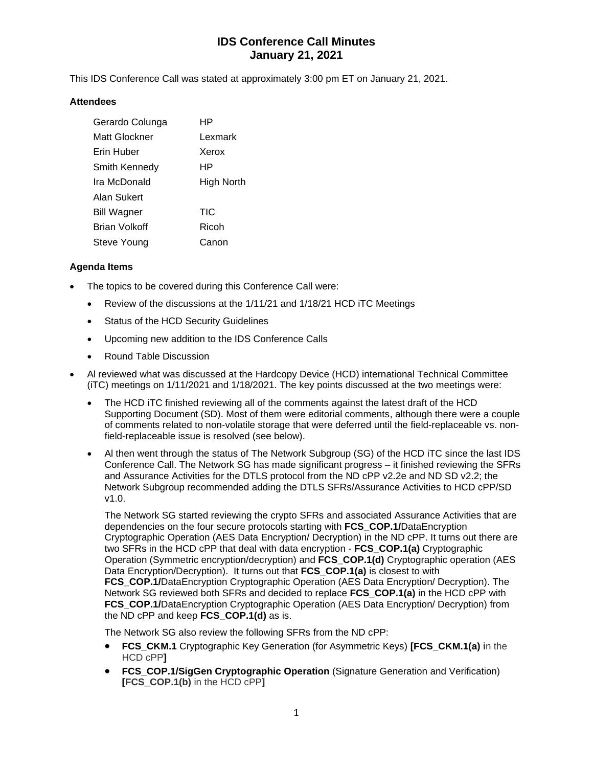# **IDS Conference Call Minutes January 21, 2021**

This IDS Conference Call was stated at approximately 3:00 pm ET on January 21, 2021.

### **Attendees**

| Gerardo Colunga      | HP         |
|----------------------|------------|
| Matt Glockner        | Lexmark    |
| Erin Huber           | Xerox      |
| Smith Kennedy        | ΗP         |
| Ira McDonald         | High North |
| Alan Sukert          |            |
| <b>Bill Wagner</b>   | TIC        |
| <b>Brian Volkoff</b> | Ricoh      |
| Steve Young          | Canon      |

### **Agenda Items**

- The topics to be covered during this Conference Call were:
	- Review of the discussions at the 1/11/21 and 1/18/21 HCD iTC Meetings
	- Status of the HCD Security Guidelines
	- Upcoming new addition to the IDS Conference Calls
	- Round Table Discussion
- Al reviewed what was discussed at the Hardcopy Device (HCD) international Technical Committee (iTC) meetings on 1/11/2021 and 1/18/2021. The key points discussed at the two meetings were:
	- The HCD iTC finished reviewing all of the comments against the latest draft of the HCD Supporting Document (SD). Most of them were editorial comments, although there were a couple of comments related to non-volatile storage that were deferred until the field-replaceable vs. nonfield-replaceable issue is resolved (see below).
	- Al then went through the status of The Network Subgroup (SG) of the HCD iTC since the last IDS Conference Call. The Network SG has made significant progress – it finished reviewing the SFRs and Assurance Activities for the DTLS protocol from the ND cPP v2.2e and ND SD v2.2; the Network Subgroup recommended adding the DTLS SFRs/Assurance Activities to HCD cPP/SD v1.0.

The Network SG started reviewing the crypto SFRs and associated Assurance Activities that are dependencies on the four secure protocols starting with **FCS\_COP.1/**DataEncryption Cryptographic Operation (AES Data Encryption/ Decryption) in the ND cPP. It turns out there are two SFRs in the HCD cPP that deal with data encryption - **FCS\_COP.1(a)** Cryptographic Operation (Symmetric encryption/decryption) and **FCS\_COP.1(d)** Cryptographic operation (AES Data Encryption/Decryption). It turns out that **FCS\_COP.1(a)** is closest to with **FCS COP.1/**DataEncryption Cryptographic Operation (AES Data Encryption/ Decryption). The Network SG reviewed both SFRs and decided to replace **FCS\_COP.1(a)** in the HCD cPP with **FCS COP.1/**DataEncryption Cryptographic Operation (AES Data Encryption/ Decryption) from the ND cPP and keep **FCS\_COP.1(d)** as is.

The Network SG also review the following SFRs from the ND cPP:

- **FCS\_CKM.1** Cryptographic Key Generation (for Asymmetric Keys) **[FCS\_CKM.1(a) i**n the HCD cPP**]**
- **FCS\_COP.1/SigGen Cryptographic Operation** (Signature Generation and Verification) **[FCS\_COP.1(b)** in the HCD cPP**]**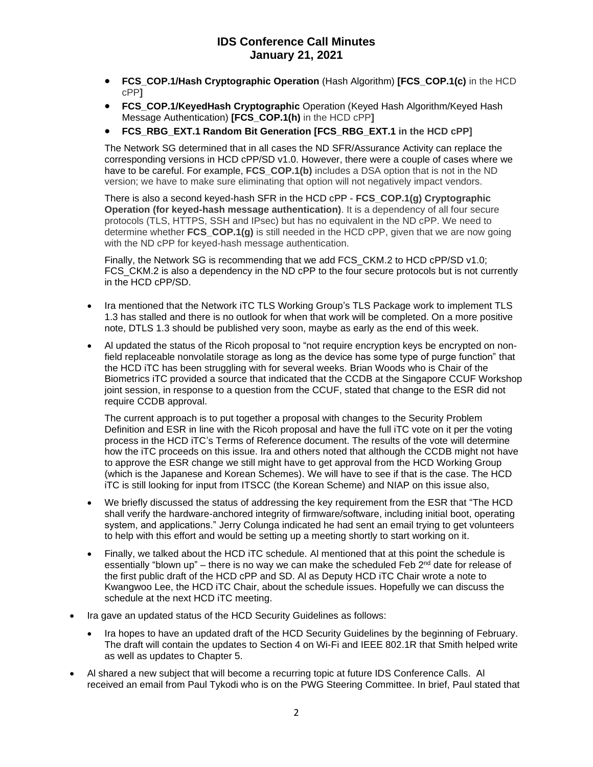## **IDS Conference Call Minutes January 21, 2021**

- **FCS\_COP.1/Hash Cryptographic Operation** (Hash Algorithm) **[FCS\_COP.1(c)** in the HCD cPP**]**
- **FCS\_COP.1/KeyedHash Cryptographic** Operation (Keyed Hash Algorithm/Keyed Hash Message Authentication) **[FCS\_COP.1(h)** in the HCD cPP**]**
- **FCS\_RBG\_EXT.1 Random Bit Generation [FCS\_RBG\_EXT.1 in the HCD cPP]**

The Network SG determined that in all cases the ND SFR/Assurance Activity can replace the corresponding versions in HCD cPP/SD v1.0. However, there were a couple of cases where we have to be careful. For example, **FCS\_COP.1(b)** includes a DSA option that is not in the ND version; we have to make sure eliminating that option will not negatively impact vendors.

There is also a second keyed-hash SFR in the HCD cPP - **FCS\_COP.1(g) Cryptographic Operation (for keyed-hash message authentication)**. It is a dependency of all four secure protocols (TLS, HTTPS, SSH and IPsec) but has no equivalent in the ND cPP. We need to determine whether **FCS\_COP.1(g)** is still needed in the HCD cPP, given that we are now going with the ND cPP for keyed-hash message authentication.

Finally, the Network SG is recommending that we add FCS\_CKM.2 to HCD cPP/SD v1.0; FCS CKM.2 is also a dependency in the ND cPP to the four secure protocols but is not currently in the HCD cPP/SD.

- Ira mentioned that the Network iTC TLS Working Group's TLS Package work to implement TLS 1.3 has stalled and there is no outlook for when that work will be completed. On a more positive note, DTLS 1.3 should be published very soon, maybe as early as the end of this week.
- Al updated the status of the Ricoh proposal to "not require encryption keys be encrypted on nonfield replaceable nonvolatile storage as long as the device has some type of purge function" that the HCD iTC has been struggling with for several weeks. Brian Woods who is Chair of the Biometrics iTC provided a source that indicated that the CCDB at the Singapore CCUF Workshop joint session, in response to a question from the CCUF, stated that change to the ESR did not require CCDB approval.

The current approach is to put together a proposal with changes to the Security Problem Definition and ESR in line with the Ricoh proposal and have the full iTC vote on it per the voting process in the HCD iTC's Terms of Reference document. The results of the vote will determine how the iTC proceeds on this issue. Ira and others noted that although the CCDB might not have to approve the ESR change we still might have to get approval from the HCD Working Group (which is the Japanese and Korean Schemes). We will have to see if that is the case. The HCD iTC is still looking for input from ITSCC (the Korean Scheme) and NIAP on this issue also,

- We briefly discussed the status of addressing the key requirement from the ESR that "The HCD shall verify the hardware-anchored integrity of firmware/software, including initial boot, operating system, and applications." Jerry Colunga indicated he had sent an email trying to get volunteers to help with this effort and would be setting up a meeting shortly to start working on it.
- Finally, we talked about the HCD iTC schedule. Al mentioned that at this point the schedule is essentially "blown up" – there is no way we can make the scheduled Feb 2<sup>nd</sup> date for release of the first public draft of the HCD cPP and SD. Al as Deputy HCD iTC Chair wrote a note to Kwangwoo Lee, the HCD iTC Chair, about the schedule issues. Hopefully we can discuss the schedule at the next HCD iTC meeting.
- Ira gave an updated status of the HCD Security Guidelines as follows:
	- Ira hopes to have an updated draft of the HCD Security Guidelines by the beginning of February. The draft will contain the updates to Section 4 on Wi-Fi and IEEE 802.1R that Smith helped write as well as updates to Chapter 5.
- Al shared a new subject that will become a recurring topic at future IDS Conference Calls. Al received an email from Paul Tykodi who is on the PWG Steering Committee. In brief, Paul stated that